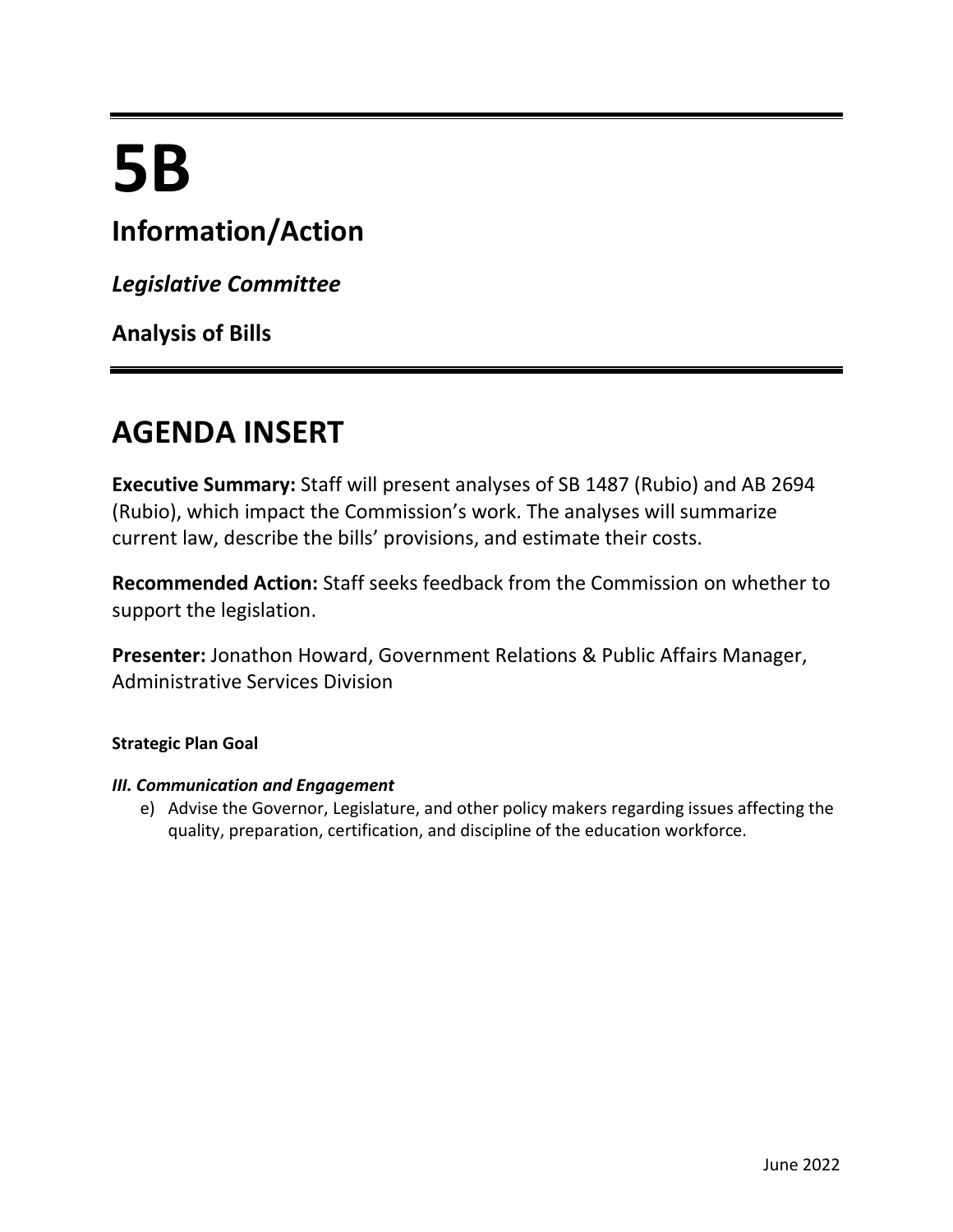# **5B**

## **Information/Action**

*Legislative Committee*

**Analysis of Bills**

# **AGENDA INSERT**

**Executive Summary:** Staff will present analyses of SB 1487 (Rubio) and AB 2694 (Rubio), which impact the Commission's work. The analyses will summarize current law, describe the bills' provisions, and estimate their costs.

**Recommended Action:** Staff seeks feedback from the Commission on whether to support the legislation.

**Presenter:** Jonathon Howard, Government Relations & Public Affairs Manager, Administrative Services Division

#### **Strategic Plan Goal**

#### *III. Communication and Engagement*

e) Advise the Governor, Legislature, and other policy makers regarding issues affecting the quality, preparation, certification, and discipline of the education workforce.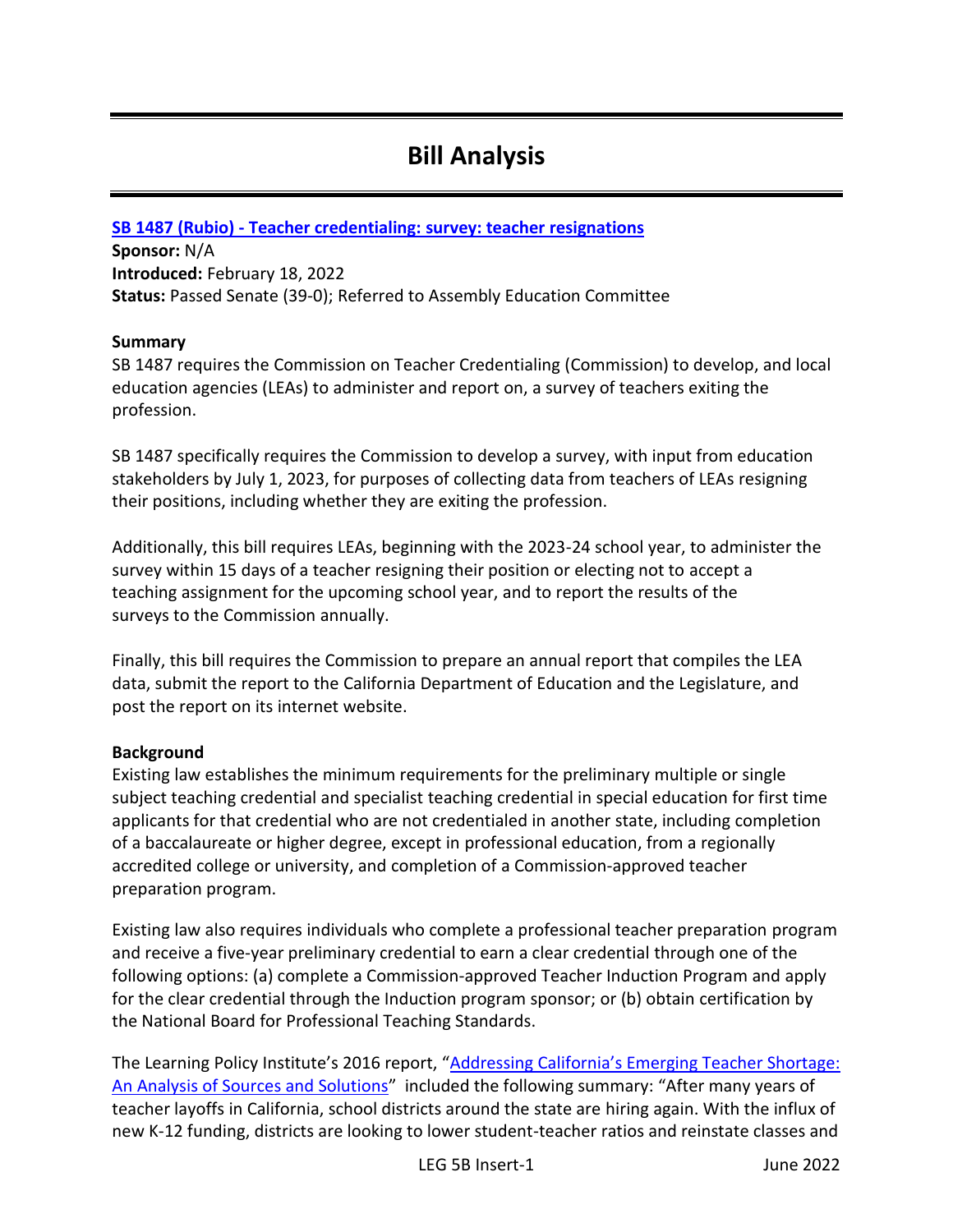### **Bill Analysis**

#### **SB 1487 (Rubio) - [Teacher credentialing: survey: teacher resignations](https://leginfo.legislature.ca.gov/faces/billNavClient.xhtml?bill_id=202120220SB1487)**

**Sponsor:** N/A **Introduced:** February 18, 2022 **Status:** Passed Senate (39-0); Referred to Assembly Education Committee

#### **Summary**

SB 1487 requires the Commission on Teacher Credentialing (Commission) to develop, and local education agencies (LEAs) to administer and report on, a survey of teachers exiting the profession.

SB 1487 specifically requires the Commission to develop a survey, with input from education stakeholders by July 1, 2023, for purposes of collecting data from teachers of LEAs resigning their positions, including whether they are exiting the profession.

Additionally, this bill requires LEAs, beginning with the 2023-24 school year, to administer the survey within 15 days of a teacher resigning their position or electing not to accept a teaching assignment for the upcoming school year, and to report the results of the surveys to the Commission annually.

Finally, this bill requires the Commission to prepare an annual report that compiles the LEA data, submit the report to the California Department of Education and the Legislature, and post the report on its internet website.

#### **Background**

Existing law establishes the minimum requirements for the preliminary multiple or single subject teaching credential and specialist teaching credential in special education for first time applicants for that credential who are not credentialed in another state, including completion of a baccalaureate or higher degree, except in professional education, from a regionally accredited college or university, and completion of a Commission-approved teacher preparation program.

Existing law also requires individuals who complete a professional teacher preparation program and receive a five-year preliminary credential to earn a clear credential through one of the following options: (a) complete a Commission-approved Teacher Induction Program and apply for the clear credential through the Induction program sponsor; or (b) obtain certification by the National Board for Professional Teaching Standards.

The Learning Policy Institute's 2016 report, "Addressing California's Emerging Teacher Shortage: [An Analysis of Sources and Solutions](https://learningpolicyinstitute.org/sites/default/files/product-files/LPI-Report-AddressingCA_TeacherShortage.pdf)" included the following summary: "After many years of teacher layoffs in California, school districts around the state are hiring again. With the influx of new K-12 funding, districts are looking to lower student-teacher ratios and reinstate classes and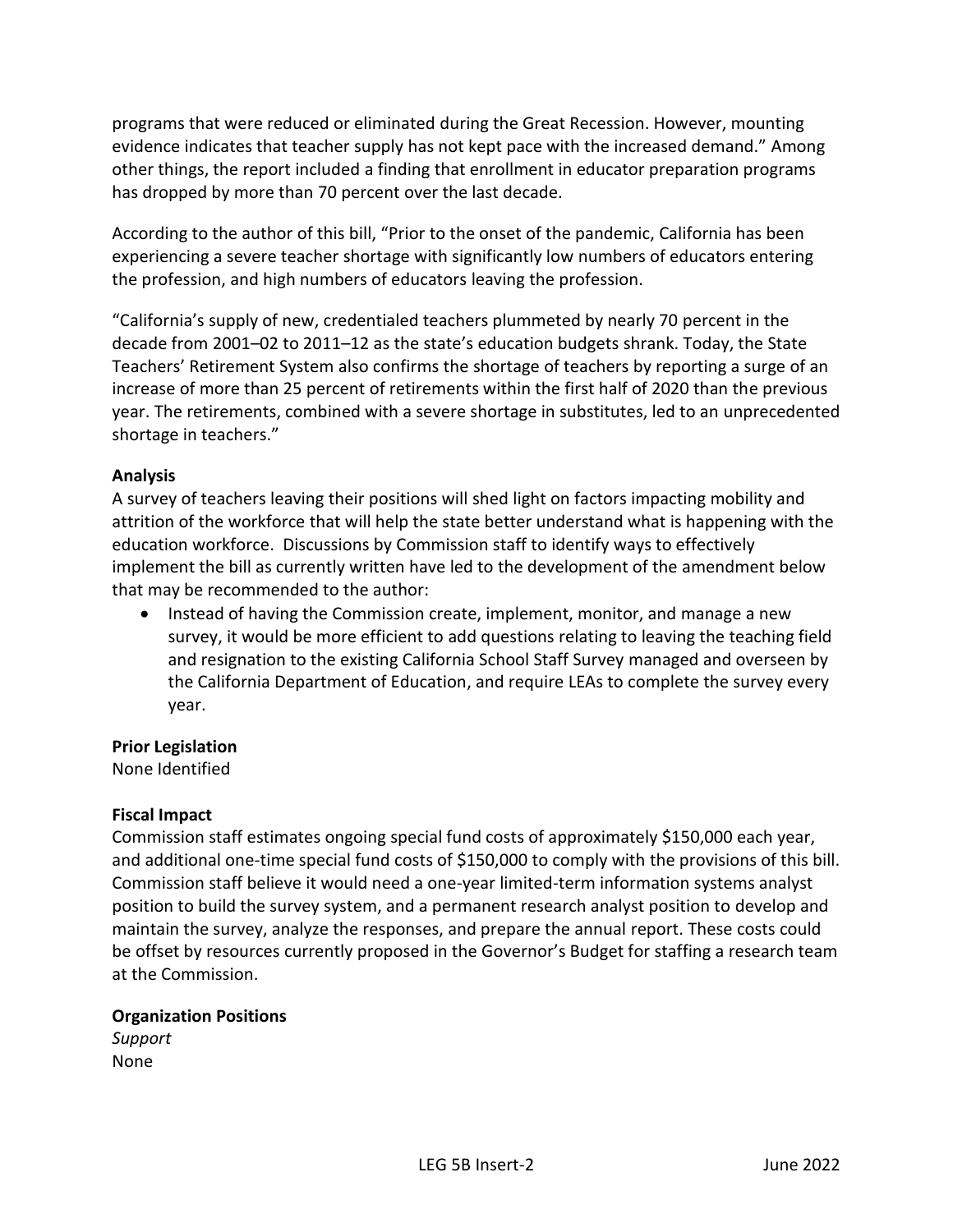programs that were reduced or eliminated during the Great Recession. However, mounting evidence indicates that teacher supply has not kept pace with the increased demand." Among other things, the report included a finding that enrollment in educator preparation programs has dropped by more than 70 percent over the last decade.

According to the author of this bill, "Prior to the onset of the pandemic, California has been experiencing a severe teacher shortage with significantly low numbers of educators entering the profession, and high numbers of educators leaving the profession.

"California's supply of new, credentialed teachers plummeted by nearly 70 percent in the decade from 2001–02 to 2011–12 as the state's education budgets shrank. Today, the State Teachers' Retirement System also confirms the shortage of teachers by reporting a surge of an increase of more than 25 percent of retirements within the first half of 2020 than the previous year. The retirements, combined with a severe shortage in substitutes, led to an unprecedented shortage in teachers."

#### **Analysis**

A survey of teachers leaving their positions will shed light on factors impacting mobility and attrition of the workforce that will help the state better understand what is happening with the education workforce. Discussions by Commission staff to identify ways to effectively implement the bill as currently written have led to the development of the amendment below that may be recommended to the author:

• Instead of having the Commission create, implement, monitor, and manage a new survey, it would be more efficient to add questions relating to leaving the teaching field and resignation to the existing California School Staff Survey managed and overseen by the California Department of Education, and require LEAs to complete the survey every year.

#### **Prior Legislation**

None Identified

#### **Fiscal Impact**

Commission staff estimates ongoing special fund costs of approximately \$150,000 each year, and additional one-time special fund costs of \$150,000 to comply with the provisions of this bill. Commission staff believe it would need a one-year limited-term information systems analyst position to build the survey system, and a permanent research analyst position to develop and maintain the survey, analyze the responses, and prepare the annual report. These costs could be offset by resources currently proposed in the Governor's Budget for staffing a research team at the Commission.

#### **Organization Positions**

*Support* None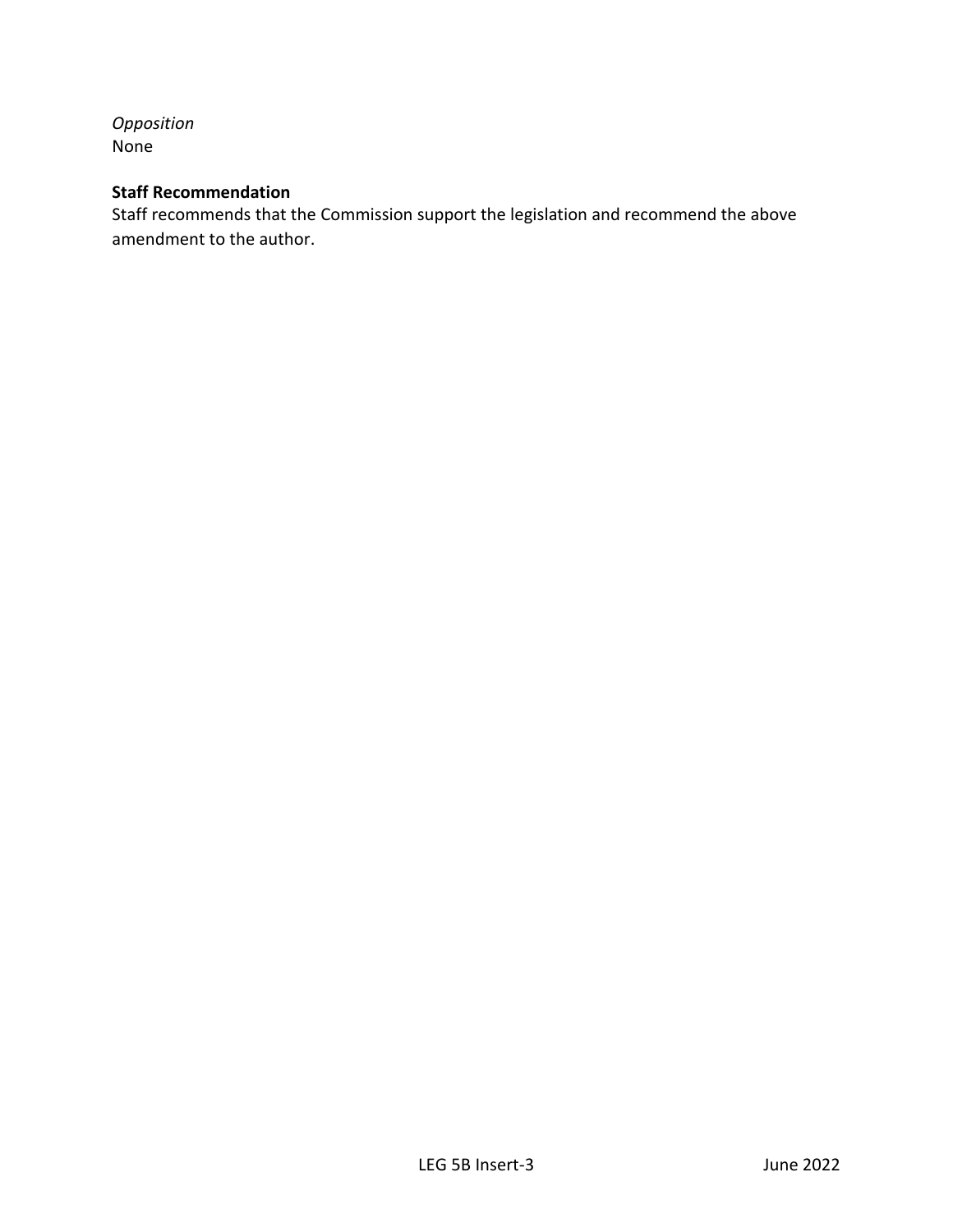*Opposition* None

#### **Staff Recommendation**

Staff recommends that the Commission support the legislation and recommend the above amendment to the author.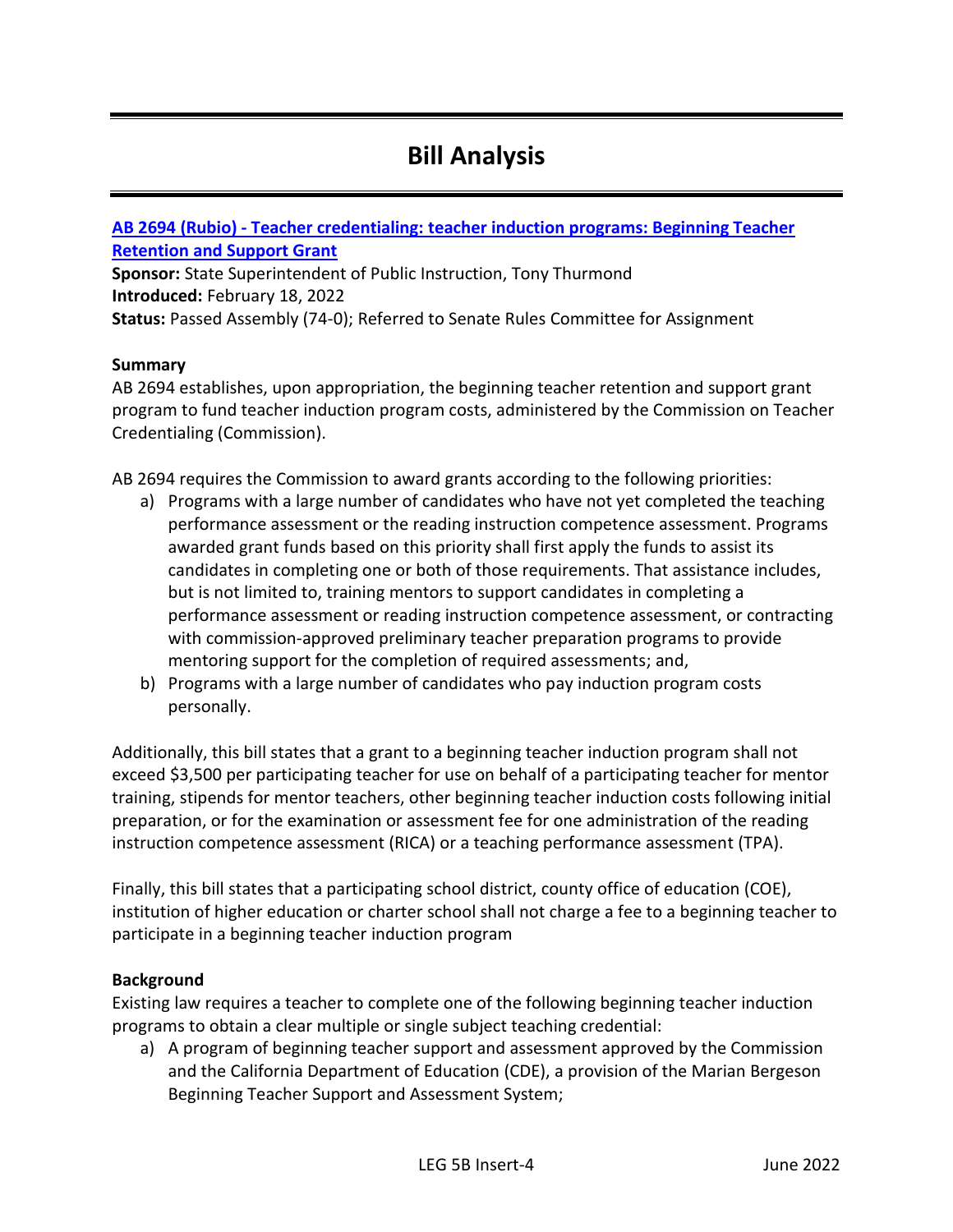## **Bill Analysis**

#### **AB 2694 (Rubio) - [Teacher credentialing: teacher induction programs: Beginning Teacher](https://leginfo.legislature.ca.gov/faces/billNavClient.xhtml?bill_id=202120220AB2694)  [Retention and Support Grant](https://leginfo.legislature.ca.gov/faces/billNavClient.xhtml?bill_id=202120220AB2694)**

**Sponsor:** State Superintendent of Public Instruction, Tony Thurmond **Introduced:** February 18, 2022 **Status:** Passed Assembly (74-0); Referred to Senate Rules Committee for Assignment

#### **Summary**

AB 2694 establishes, upon appropriation, the beginning teacher retention and support grant program to fund teacher induction program costs, administered by the Commission on Teacher Credentialing (Commission).

AB 2694 requires the Commission to award grants according to the following priorities:

- a) Programs with a large number of candidates who have not yet completed the teaching performance assessment or the reading instruction competence assessment. Programs awarded grant funds based on this priority shall first apply the funds to assist its candidates in completing one or both of those requirements. That assistance includes, but is not limited to, training mentors to support candidates in completing a performance assessment or reading instruction competence assessment, or contracting with commission-approved preliminary teacher preparation programs to provide mentoring support for the completion of required assessments; and,
- b) Programs with a large number of candidates who pay induction program costs personally.

Additionally, this bill states that a grant to a beginning teacher induction program shall not exceed \$3,500 per participating teacher for use on behalf of a participating teacher for mentor training, stipends for mentor teachers, other beginning teacher induction costs following initial preparation, or for the examination or assessment fee for one administration of the reading instruction competence assessment (RICA) or a teaching performance assessment (TPA).

Finally, this bill states that a participating school district, county office of education (COE), institution of higher education or charter school shall not charge a fee to a beginning teacher to participate in a beginning teacher induction program

#### **Background**

Existing law requires a teacher to complete one of the following beginning teacher induction programs to obtain a clear multiple or single subject teaching credential:

a) A program of beginning teacher support and assessment approved by the Commission and the California Department of Education (CDE), a provision of the Marian Bergeson Beginning Teacher Support and Assessment System;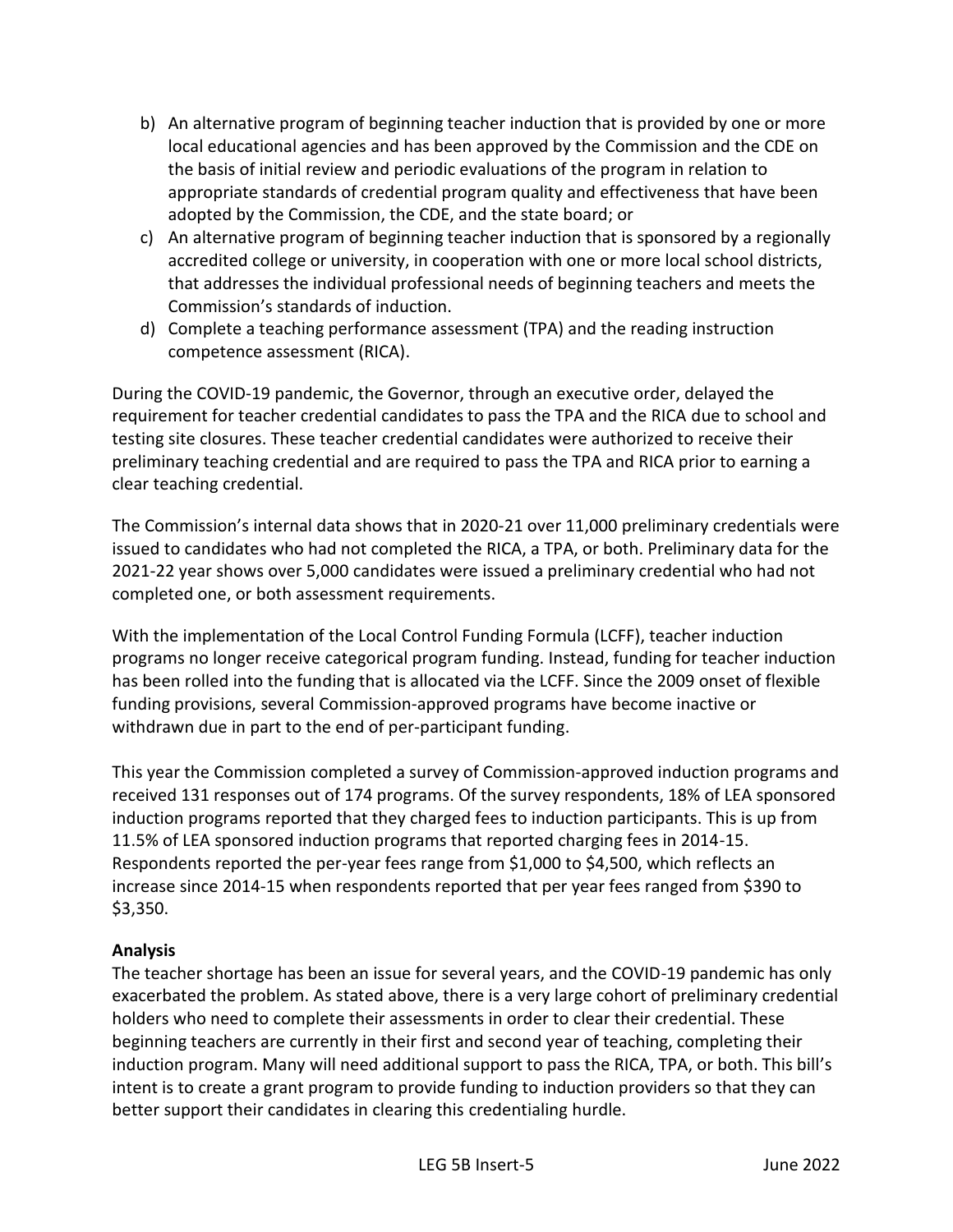- b) An alternative program of beginning teacher induction that is provided by one or more local educational agencies and has been approved by the Commission and the CDE on the basis of initial review and periodic evaluations of the program in relation to appropriate standards of credential program quality and effectiveness that have been adopted by the Commission, the CDE, and the state board; or
- c) An alternative program of beginning teacher induction that is sponsored by a regionally accredited college or university, in cooperation with one or more local school districts, that addresses the individual professional needs of beginning teachers and meets the Commission's standards of induction.
- d) Complete a teaching performance assessment (TPA) and the reading instruction competence assessment (RICA).

During the COVID-19 pandemic, the Governor, through an executive order, delayed the requirement for teacher credential candidates to pass the TPA and the RICA due to school and testing site closures. These teacher credential candidates were authorized to receive their preliminary teaching credential and are required to pass the TPA and RICA prior to earning a clear teaching credential.

The Commission's internal data shows that in 2020-21 over 11,000 preliminary credentials were issued to candidates who had not completed the RICA, a TPA, or both. Preliminary data for the 2021-22 year shows over 5,000 candidates were issued a preliminary credential who had not completed one, or both assessment requirements.

With the implementation of the Local Control Funding Formula (LCFF), teacher induction programs no longer receive categorical program funding. Instead, funding for teacher induction has been rolled into the funding that is allocated via the LCFF. Since the 2009 onset of flexible funding provisions, several Commission-approved programs have become inactive or withdrawn due in part to the end of per-participant funding.

This year the Commission completed a survey of Commission-approved induction programs and received 131 responses out of 174 programs. Of the survey respondents, 18% of LEA sponsored induction programs reported that they charged fees to induction participants. This is up from 11.5% of LEA sponsored induction programs that reported charging fees in 2014-15. Respondents reported the per-year fees range from \$1,000 to \$4,500, which reflects an increase since 2014-15 when respondents reported that per year fees ranged from \$390 to \$3,350.

#### **Analysis**

The teacher shortage has been an issue for several years, and the COVID-19 pandemic has only exacerbated the problem. As stated above, there is a very large cohort of preliminary credential holders who need to complete their assessments in order to clear their credential. These beginning teachers are currently in their first and second year of teaching, completing their induction program. Many will need additional support to pass the RICA, TPA, or both. This bill's intent is to create a grant program to provide funding to induction providers so that they can better support their candidates in clearing this credentialing hurdle.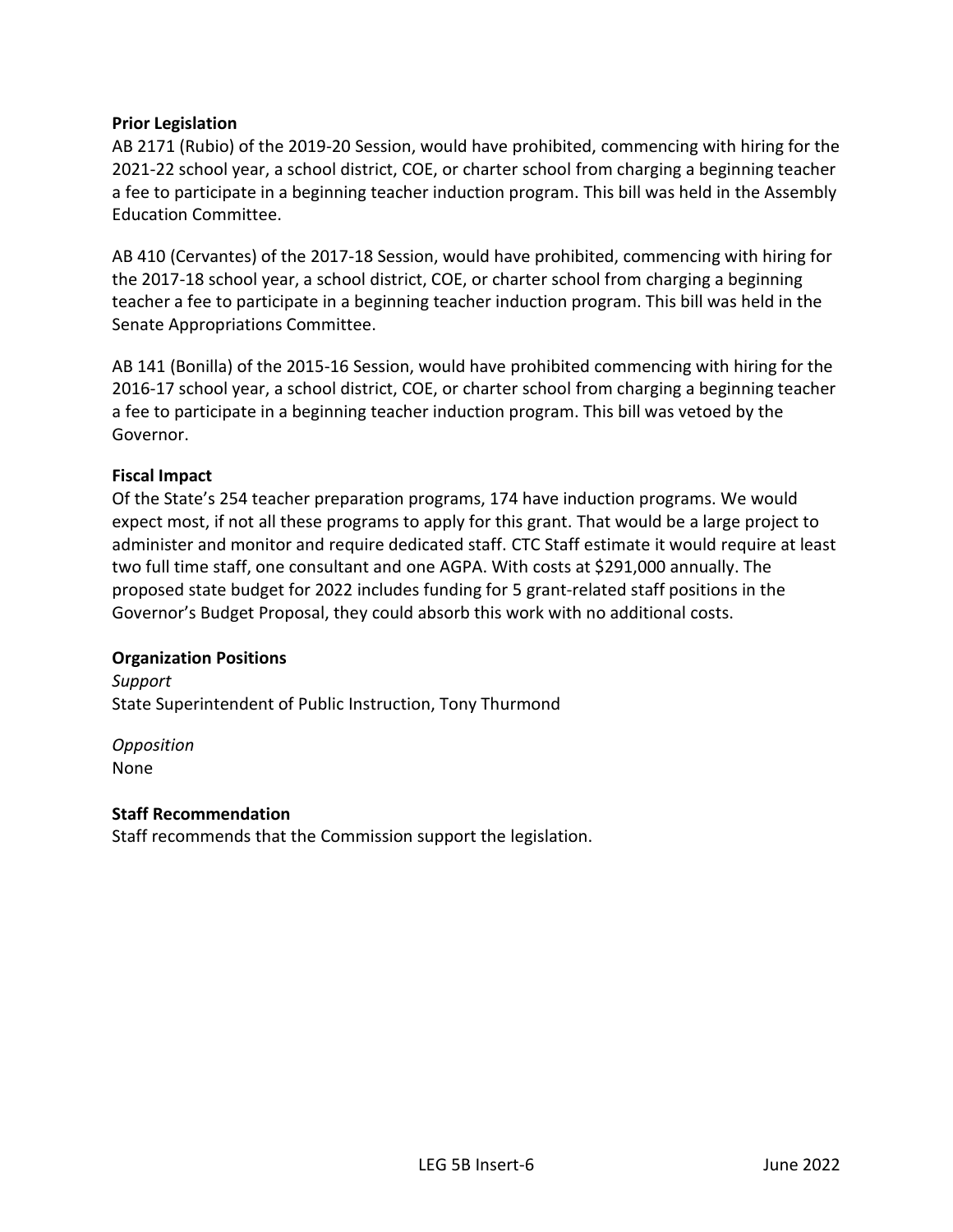#### **Prior Legislation**

AB 2171 (Rubio) of the 2019-20 Session, would have prohibited, commencing with hiring for the 2021-22 school year, a school district, COE, or charter school from charging a beginning teacher a fee to participate in a beginning teacher induction program. This bill was held in the Assembly Education Committee.

AB 410 (Cervantes) of the 2017-18 Session, would have prohibited, commencing with hiring for the 2017-18 school year, a school district, COE, or charter school from charging a beginning teacher a fee to participate in a beginning teacher induction program. This bill was held in the Senate Appropriations Committee.

AB 141 (Bonilla) of the 2015-16 Session, would have prohibited commencing with hiring for the 2016-17 school year, a school district, COE, or charter school from charging a beginning teacher a fee to participate in a beginning teacher induction program. This bill was vetoed by the Governor.

#### **Fiscal Impact**

Of the State's 254 teacher preparation programs, 174 have induction programs. We would expect most, if not all these programs to apply for this grant. That would be a large project to administer and monitor and require dedicated staff. CTC Staff estimate it would require at least two full time staff, one consultant and one AGPA. With costs at \$291,000 annually. The proposed state budget for 2022 includes funding for 5 grant-related staff positions in the Governor's Budget Proposal, they could absorb this work with no additional costs.

#### **Organization Positions**

*Support* State Superintendent of Public Instruction, Tony Thurmond

*Opposition* None

#### **Staff Recommendation**

Staff recommends that the Commission support the legislation.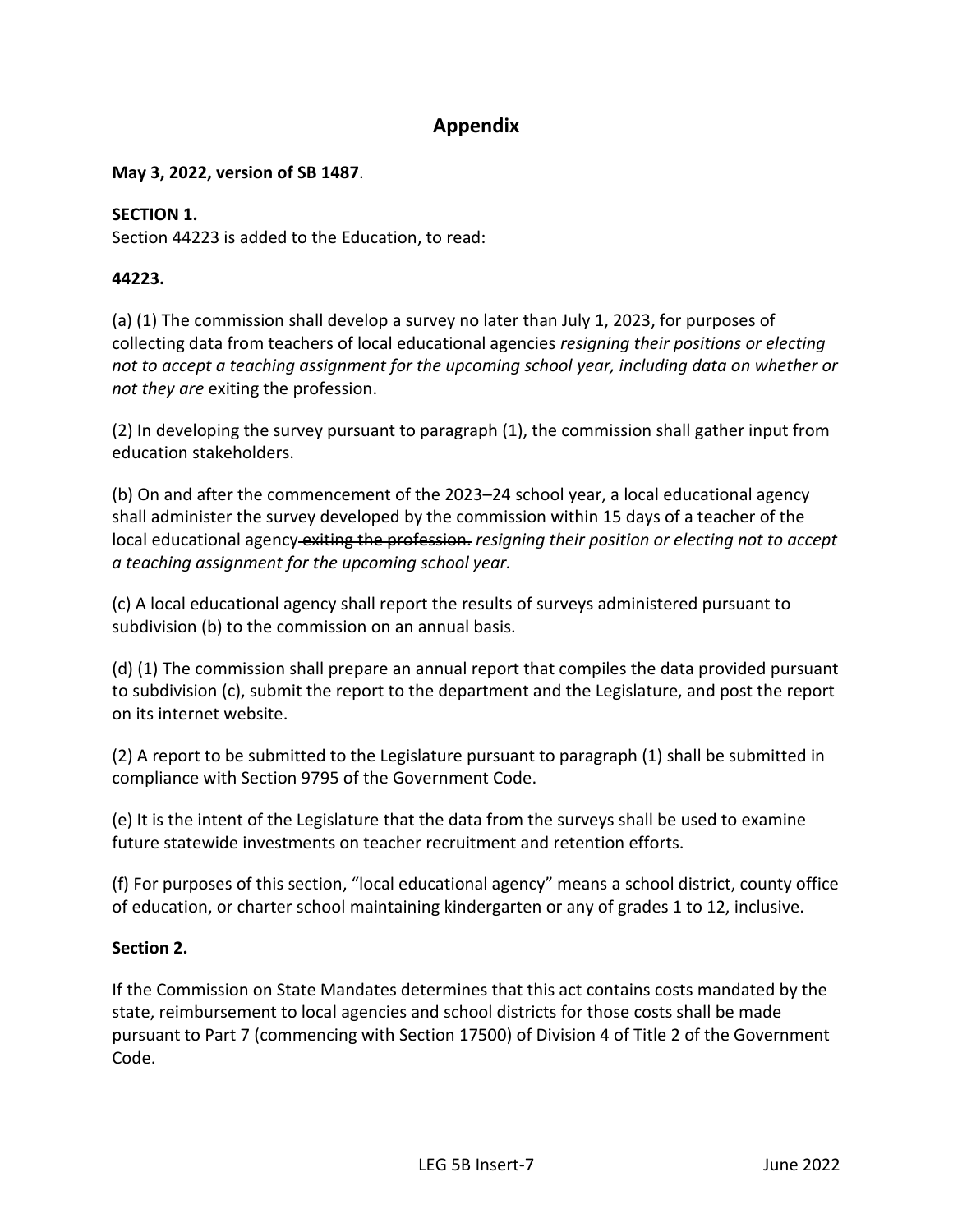#### **Appendix**

#### **May 3, 2022, version of SB 1487**.

#### **SECTION 1.**

Section 44223 is added to the Education, to read:

#### **44223.**

(a) (1) The commission shall develop a survey no later than July 1, 2023, for purposes of collecting data from teachers of local educational agencies *resigning their positions or electing not to accept a teaching assignment for the upcoming school year, including data on whether or not they are* exiting the profession.

(2) In developing the survey pursuant to paragraph (1), the commission shall gather input from education stakeholders.

(b) On and after the commencement of the 2023–24 school year, a local educational agency shall administer the survey developed by the commission within 15 days of a teacher of the local educational agency exiting the profession. *resigning their position or electing not to accept a teaching assignment for the upcoming school year.*

(c) A local educational agency shall report the results of surveys administered pursuant to subdivision (b) to the commission on an annual basis.

(d) (1) The commission shall prepare an annual report that compiles the data provided pursuant to subdivision (c), submit the report to the department and the Legislature, and post the report on its internet website.

(2) A report to be submitted to the Legislature pursuant to paragraph (1) shall be submitted in compliance with Section 9795 of the Government Code.

(e) It is the intent of the Legislature that the data from the surveys shall be used to examine future statewide investments on teacher recruitment and retention efforts.

(f) For purposes of this section, "local educational agency" means a school district, county office of education, or charter school maintaining kindergarten or any of grades 1 to 12, inclusive.

#### **Section 2.**

If the Commission on State Mandates determines that this act contains costs mandated by the state, reimbursement to local agencies and school districts for those costs shall be made pursuant to Part 7 (commencing with Section 17500) of Division 4 of Title 2 of the Government Code.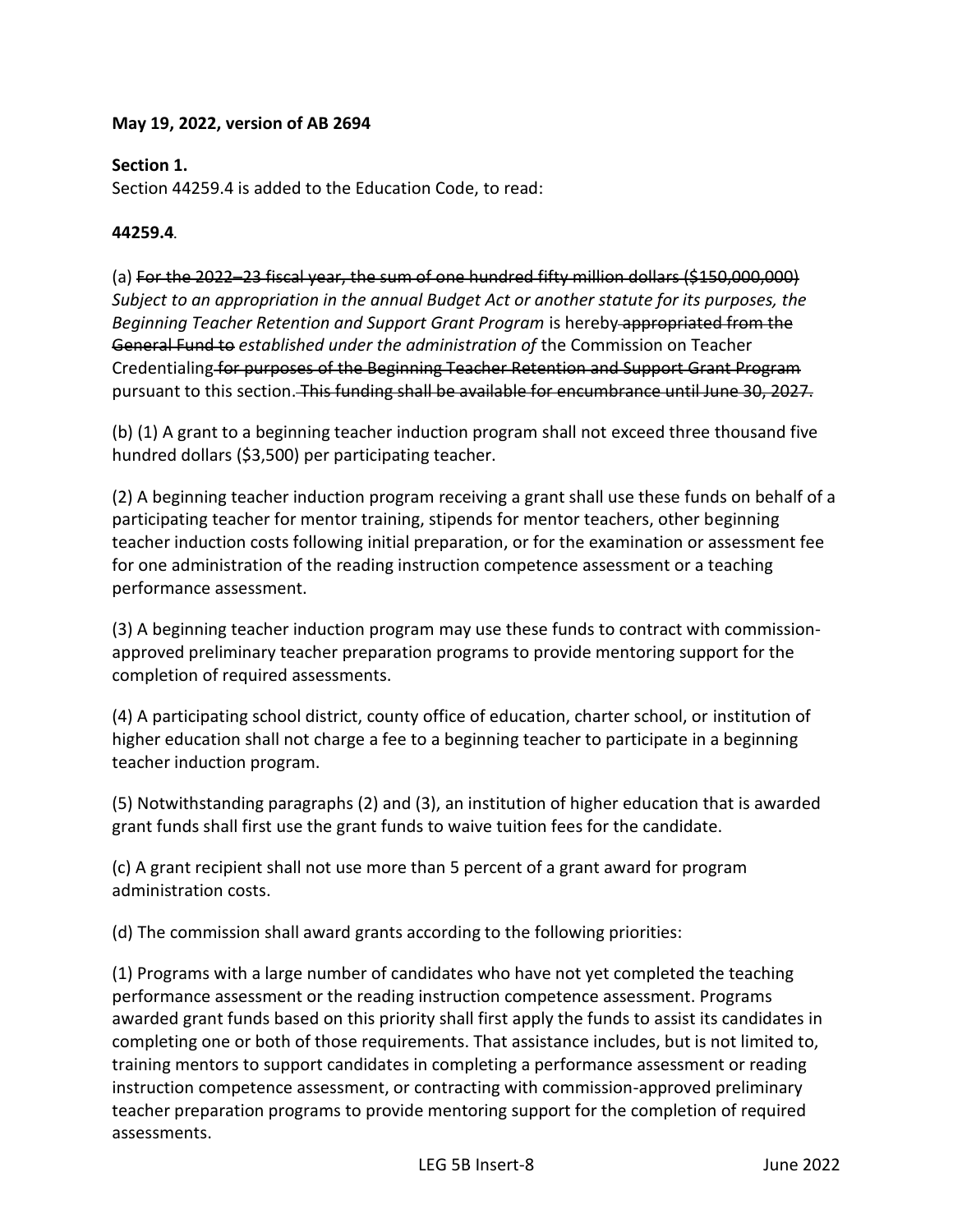#### **May 19, 2022, version of AB 2694**

#### **Section 1.**

Section 44259.4 is added to the Education Code, to read:

#### **44259.4.**

(a) For the 2022–23 fiscal year, the sum of one hundred fifty million dollars (\$150,000,000) *Subject to an appropriation in the annual Budget Act or another statute for its purposes, the Beginning Teacher Retention and Support Grant Program* is hereby appropriated from the General Fund to *established under the administration of* the Commission on Teacher Credentialing for purposes of the Beginning Teacher Retention and Support Grant Program pursuant to this section. This funding shall be available for encumbrance until June 30. 2027.

(b) (1) A grant to a beginning teacher induction program shall not exceed three thousand five hundred dollars (\$3,500) per participating teacher.

(2) A beginning teacher induction program receiving a grant shall use these funds on behalf of a participating teacher for mentor training, stipends for mentor teachers, other beginning teacher induction costs following initial preparation, or for the examination or assessment fee for one administration of the reading instruction competence assessment or a teaching performance assessment.

(3) A beginning teacher induction program may use these funds to contract with commissionapproved preliminary teacher preparation programs to provide mentoring support for the completion of required assessments.

(4) A participating school district, county office of education, charter school, or institution of higher education shall not charge a fee to a beginning teacher to participate in a beginning teacher induction program.

(5) Notwithstanding paragraphs (2) and (3), an institution of higher education that is awarded grant funds shall first use the grant funds to waive tuition fees for the candidate.

(c) A grant recipient shall not use more than 5 percent of a grant award for program administration costs.

(d) The commission shall award grants according to the following priorities:

(1) Programs with a large number of candidates who have not yet completed the teaching performance assessment or the reading instruction competence assessment. Programs awarded grant funds based on this priority shall first apply the funds to assist its candidates in completing one or both of those requirements. That assistance includes, but is not limited to, training mentors to support candidates in completing a performance assessment or reading instruction competence assessment, or contracting with commission-approved preliminary teacher preparation programs to provide mentoring support for the completion of required assessments.